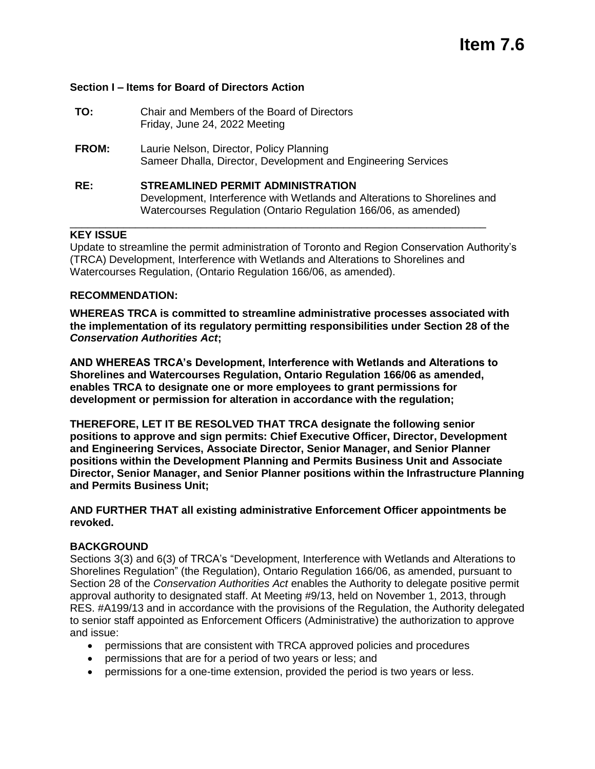### **Section I – Items for Board of Directors Action**

| TO:          | Chair and Members of the Board of Directors<br>Friday, June 24, 2022 Meeting                                                                                                             |
|--------------|------------------------------------------------------------------------------------------------------------------------------------------------------------------------------------------|
| <b>FROM:</b> | Laurie Nelson, Director, Policy Planning<br>Sameer Dhalla, Director, Development and Engineering Services                                                                                |
| RE:          | <b>STREAMLINED PERMIT ADMINISTRATION</b><br>Development, Interference with Wetlands and Alterations to Shorelines and<br>Watercourses Regulation (Ontario Regulation 166/06, as amended) |

## **KEY ISSUE**

Update to streamline the permit administration of Toronto and Region Conservation Authority's (TRCA) Development, Interference with Wetlands and Alterations to Shorelines and Watercourses Regulation, (Ontario Regulation 166/06, as amended).

## **RECOMMENDATION:**

**WHEREAS TRCA is committed to streamline administrative processes associated with the implementation of its regulatory permitting responsibilities under Section 28 of the**  *Conservation Authorities Act***;**

**AND WHEREAS TRCA's Development, Interference with Wetlands and Alterations to Shorelines and Watercourses Regulation, Ontario Regulation 166/06 as amended, enables TRCA to designate one or more employees to grant permissions for development or permission for alteration in accordance with the regulation;**

**THEREFORE, LET IT BE RESOLVED THAT TRCA designate the following senior positions to approve and sign permits: Chief Executive Officer, Director, Development and Engineering Services, Associate Director, Senior Manager, and Senior Planner positions within the Development Planning and Permits Business Unit and Associate Director, Senior Manager, and Senior Planner positions within the Infrastructure Planning and Permits Business Unit;** 

#### **AND FURTHER THAT all existing administrative Enforcement Officer appointments be revoked.**

#### **BACKGROUND**

Sections 3(3) and 6(3) of TRCA's "Development, Interference with Wetlands and Alterations to Shorelines Regulation" (the Regulation), Ontario Regulation 166/06, as amended, pursuant to Section 28 of the *Conservation Authorities Act* enables the Authority to delegate positive permit approval authority to designated staff. At Meeting #9/13, held on November 1, 2013, through RES. #A199/13 and in accordance with the provisions of the Regulation, the Authority delegated to senior staff appointed as Enforcement Officers (Administrative) the authorization to approve and issue:

- permissions that are consistent with TRCA approved policies and procedures
- permissions that are for a period of two years or less; and
- permissions for a one-time extension, provided the period is two years or less.